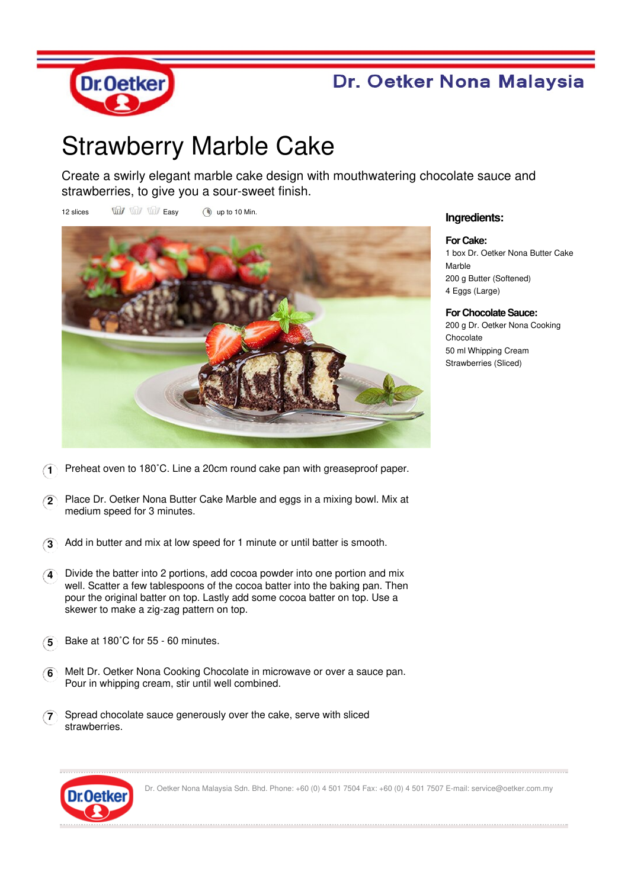

## Dr. Oetker Nona Malaysia

## Strawberry Marble Cake

Create a swirly elegant marble cake design with mouthwatering chocolate sauce and strawberries, to give you a sour-sweet finish.

12 slices  $\overrightarrow{uu}$   $\overrightarrow{uv}$  Easy (a) up to 10 Min.



## **Ingredients:**

**For Cake:** 1 box Dr. Oetker Nona Butter Cake Marble 200 g Butter (Softened) 4 Eggs (Large)

**For Chocolate Sauce:** 200 g Dr. Oetker Nona Cooking **Chocolate** 50 ml Whipping Cream Strawberries (Sliced)

- **1** Preheat oven to 180˚C. Line a 20cm round cake pan with greaseproof paper.
- **2** Place Dr. Oetker Nona Butter Cake Marble and eggs in a mixing bowl. Mix at medium speed for 3 minutes.
- **3** Add in butter and mix at low speed for 1 minute or until batter is smooth.
- **4** Divide the batter into 2 portions, add cocoa powder into one portion and mix well. Scatter a few tablespoons of the cocoa batter into the baking pan. Then pour the original batter on top. Lastly add some cocoa batter on top. Use a skewer to make a zig-zag pattern on top.
- **5** Bake at 180˚C for 55 60 minutes.
- **6** Melt Dr. Oetker Nona Cooking Chocolate in microwave or over a sauce pan. Pour in whipping cream, stir until well combined.
- **7** Spread chocolate sauce generously over the cake, serve with sliced **strawberries**



Dr. Oetker Nona Malaysia Sdn. Bhd. Phone: +60 (0) 4 501 7504 Fax: +60 (0) 4 501 7507 E-mail: service@oetker.com.my